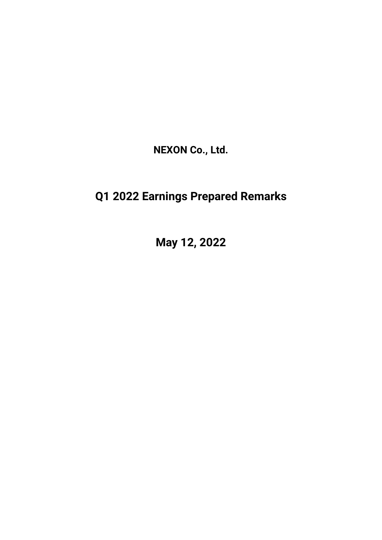**NEXON Co., Ltd.**

## **Q1 2022 Earnings Prepared Remarks**

**May 12, 2022**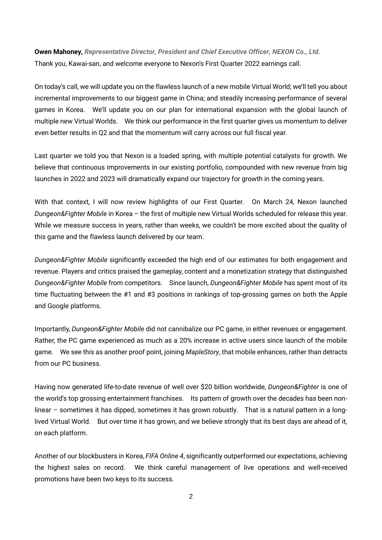**Owen Mahoney,** *Representative Director, President and Chief Executive Officer, NEXON Co., Ltd.* Thank you, Kawai-san, and welcome everyone to Nexon's First Quarter 2022 earnings call.

On today's call, we will update you on the flawless launch of a new mobile Virtual World; we'll tell you about incremental improvements to our biggest game in China; and steadily increasing performance of several games in Korea. We'll update you on our plan for international expansion with the global launch of multiple new Virtual Worlds. We think our performance in the first quarter gives us momentum to deliver even better results in Q2 and that the momentum will carry across our full fiscal year.

Last quarter we told you that Nexon is a loaded spring, with multiple potential catalysts for growth. We believe that continuous improvements in our existing portfolio, compounded with new revenue from big launches in 2022 and 2023 will dramatically expand our trajectory for growth in the coming years.

With that context, I will now review highlights of our First Quarter. On March 24, Nexon launched *Dungeon&Fighter Mobile* in Korea – the first of multiple new Virtual Worlds scheduled for release this year. While we measure success in years, rather than weeks, we couldn't be more excited about the quality of this game and the flawless launch delivered by our team.

*Dungeon&Fighter Mobile* significantly exceeded the high end of our estimates for both engagement and revenue. Players and critics praised the gameplay, content and a monetization strategy that distinguished *Dungeon&Fighter Mobile* from competitors. Since launch, *Dungeon&Fighter Mobile* has spent most of its time fluctuating between the #1 and #3 positions in rankings of top-grossing games on both the Apple and Google platforms.

Importantly, *Dungeon&Fighter Mobile* did not cannibalize our PC game, in either revenues or engagement. Rather, the PC game experienced as much as a 20% increase in active users since launch of the mobile game. We see this as another proof point, joining *MapleStory*, that mobile enhances, rather than detracts from our PC business.

Having now generated life-to-date revenue of well over \$20 billion worldwide, *Dungeon&Fighter* is one of the world's top grossing entertainment franchises. Its pattern of growth over the decades has been nonlinear – sometimes it has dipped, sometimes it has grown robustly. That is a natural pattern in a longlived Virtual World. But over time it has grown, and we believe strongly that its best days are ahead of it, on each platform.

Another of our blockbusters in Korea, *FIFA Online 4*, significantly outperformed our expectations, achieving the highest sales on record. We think careful management of live operations and well-received promotions have been two keys to its success.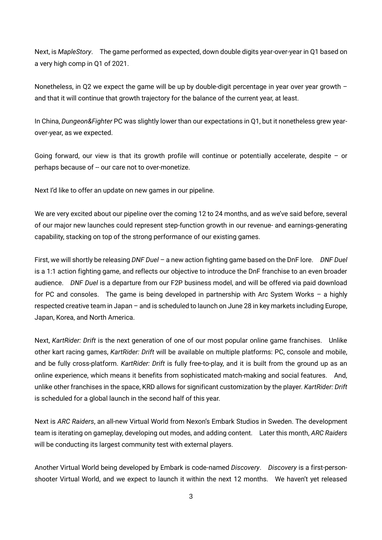Next, is *MapleStory*. The game performed as expected, down double digits year-over-year in Q1 based on a very high comp in Q1 of 2021.

Nonetheless, in Q2 we expect the game will be up by double-digit percentage in year over year growth – and that it will continue that growth trajectory for the balance of the current year, at least.

In China, *Dungeon&Fighter* PC was slightly lower than our expectations in Q1, but it nonetheless grew yearover-year, as we expected.

Going forward, our view is that its growth profile will continue or potentially accelerate, despite – or perhaps because of -- our care not to over-monetize.

Next I'd like to offer an update on new games in our pipeline.

We are very excited about our pipeline over the coming 12 to 24 months, and as we've said before, several of our major new launches could represent step-function growth in our revenue- and earnings-generating capability, stacking on top of the strong performance of our existing games.

First, we will shortly be releasing *DNF Duel* – a new action fighting game based on the DnF lore. *DNF Duel* is a 1:1 action fighting game, and reflects our objective to introduce the DnF franchise to an even broader audience. *DNF Duel* is a departure from our F2P business model, and will be offered via paid download for PC and consoles. The game is being developed in partnership with Arc System Works – a highly respected creative team in Japan – and is scheduled to launch on June 28 in key markets including Europe, Japan, Korea, and North America.

Next, *KartRider: Drift* is the next generation of one of our most popular online game franchises. Unlike other kart racing games, *KartRider: Drift* will be available on multiple platforms: PC, console and mobile, and be fully cross-platform. *KartRider: Drift* is fully free-to-play, and it is built from the ground up as an online experience, which means it benefits from sophisticated match-making and social features. And, unlike other franchises in the space, KRD allows for significant customization by the player. *KartRider: Drift* is scheduled for a global launch in the second half of this year.

Next is *ARC Raiders*, an all-new Virtual World from Nexon's Embark Studios in Sweden. The development team is iterating on gameplay, developing out modes, and adding content. Later this month, *ARC Raiders* will be conducting its largest community test with external players.

Another Virtual World being developed by Embark is code-named *Discovery*. *Discovery* is a first-personshooter Virtual World, and we expect to launch it within the next 12 months. We haven't yet released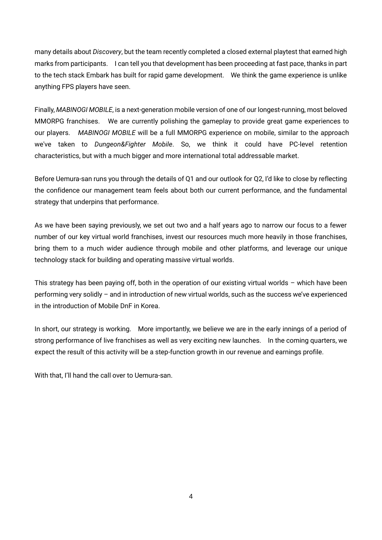many details about *Discovery*, but the team recently completed a closed external playtest that earned high marks from participants. I can tell you that development has been proceeding at fast pace, thanks in part to the tech stack Embark has built for rapid game development. We think the game experience is unlike anything FPS players have seen.

Finally, *MABINOGI MOBILE*, is a next-generation mobile version of one of our longest-running, most beloved MMORPG franchises. We are currently polishing the gameplay to provide great game experiences to our players. *MABINOGI MOBILE* will be a full MMORPG experience on mobile, similar to the approach we've taken to *Dungeon&Fighter Mobile*. So, we think it could have PC-level retention characteristics, but with a much bigger and more international total addressable market.

Before Uemura-san runs you through the details of Q1 and our outlook for Q2, I'd like to close by reflecting the confidence our management team feels about both our current performance, and the fundamental strategy that underpins that performance.

As we have been saying previously, we set out two and a half years ago to narrow our focus to a fewer number of our key virtual world franchises, invest our resources much more heavily in those franchises, bring them to a much wider audience through mobile and other platforms, and leverage our unique technology stack for building and operating massive virtual worlds.

This strategy has been paying off, both in the operation of our existing virtual worlds – which have been performing very solidly – and in introduction of new virtual worlds, such as the success we've experienced in the introduction of Mobile DnF in Korea.

In short, our strategy is working. More importantly, we believe we are in the early innings of a period of strong performance of live franchises as well as very exciting new launches. In the coming quarters, we expect the result of this activity will be a step-function growth in our revenue and earnings profile.

With that, I'll hand the call over to Uemura-san.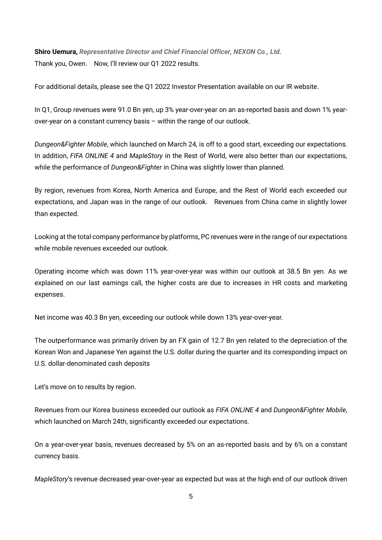**Shiro Uemura,** *Representative Director and Chief Financial Officer, NEXON Co., Ltd.* Thank you, Owen. Now, I'll review our Q1 2022 results.

For additional details, please see the Q1 2022 Investor Presentation available on our IR website.

In Q1, Group revenues were 91.0 Bn yen, up 3% year-over-year on an as-reported basis and down 1% yearover-year on a constant currency basis – within the range of our outlook.

*Dungeon&Fighter Mobile*, which launched on March 24, is off to a good start, exceeding our expectations. In addition, *FIFA ONLINE 4* and *MapleStory* in the Rest of World, were also better than our expectations, while the performance of *Dungeon&Fighter* in China was slightly lower than planned.

By region, revenues from Korea, North America and Europe, and the Rest of World each exceeded our expectations, and Japan was in the range of our outlook. Revenues from China came in slightly lower than expected.

Looking at the total company performance by platforms, PC revenues were in the range of our expectations while mobile revenues exceeded our outlook.

Operating income which was down 11% year-over-year was within our outlook at 38.5 Bn yen. As we explained on our last earnings call, the higher costs are due to increases in HR costs and marketing expenses.

Net income was 40.3 Bn yen, exceeding our outlook while down 13% year-over-year.

The outperformance was primarily driven by an FX gain of 12.7 Bn yen related to the depreciation of the Korean Won and Japanese Yen against the U.S. dollar during the quarter and its corresponding impact on U.S. dollar-denominated cash deposits

Let's move on to results by region.

Revenues from our Korea business exceeded our outlook as *FIFA ONLINE 4* and *Dungeon&Fighter Mobile*, which launched on March 24th, significantly exceeded our expectations.

On a year-over-year basis, revenues decreased by 5% on an as-reported basis and by 6% on a constant currency basis.

*MapleStory*'s revenue decreased year-over-year as expected but was at the high end of our outlook driven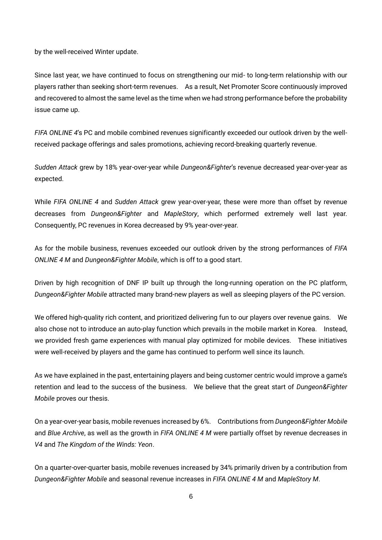by the well-received Winter update.

Since last year, we have continued to focus on strengthening our mid- to long-term relationship with our players rather than seeking short-term revenues. As a result, Net Promoter Score continuously improved and recovered to almost the same level as the time when we had strong performance before the probability issue came up.

*FIFA ONLINE 4*'s PC and mobile combined revenues significantly exceeded our outlook driven by the wellreceived package offerings and sales promotions, achieving record-breaking quarterly revenue.

*Sudden Attack* grew by 18% year-over-year while *Dungeon&Fighter*'s revenue decreased year-over-year as expected.

While *FIFA ONLINE 4* and *Sudden Attack* grew year-over-year, these were more than offset by revenue decreases from *Dungeon&Fighter* and *MapleStory*, which performed extremely well last year. Consequently, PC revenues in Korea decreased by 9% year-over-year.

As for the mobile business, revenues exceeded our outlook driven by the strong performances of *FIFA ONLINE 4 M* and *Dungeon&Fighter Mobile*, which is off to a good start.

Driven by high recognition of DNF IP built up through the long-running operation on the PC platform, *Dungeon&Fighter Mobile* attracted many brand-new players as well as sleeping players of the PC version.

We offered high-quality rich content, and prioritized delivering fun to our players over revenue gains. We also chose not to introduce an auto-play function which prevails in the mobile market in Korea. Instead, we provided fresh game experiences with manual play optimized for mobile devices. These initiatives were well-received by players and the game has continued to perform well since its launch.

As we have explained in the past, entertaining players and being customer centric would improve a game's retention and lead to the success of the business. We believe that the great start of *Dungeon&Fighter Mobile* proves our thesis.

On a year-over-year basis, mobile revenues increased by 6%. Contributions from *Dungeon&Fighter Mobile* and *Blue Archive*, as well as the growth in *FIFA ONLINE 4 M* were partially offset by revenue decreases in *V4* and *The Kingdom of the Winds: Yeon*.

On a quarter-over-quarter basis, mobile revenues increased by 34% primarily driven by a contribution from *Dungeon&Fighter Mobile* and seasonal revenue increases in *FIFA ONLINE 4 M* and *MapleStory M*.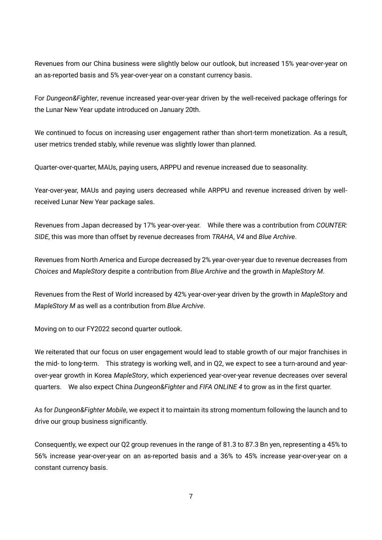Revenues from our China business were slightly below our outlook, but increased 15% year-over-year on an as-reported basis and 5% year-over-year on a constant currency basis.

For *Dungeon&Fighter*, revenue increased year-over-year driven by the well-received package offerings for the Lunar New Year update introduced on January 20th.

We continued to focus on increasing user engagement rather than short-term monetization. As a result, user metrics trended stably, while revenue was slightly lower than planned.

Quarter-over-quarter, MAUs, paying users, ARPPU and revenue increased due to seasonality.

Year-over-year, MAUs and paying users decreased while ARPPU and revenue increased driven by wellreceived Lunar New Year package sales.

Revenues from Japan decreased by 17% year-over-year. While there was a contribution from *COUNTER: SIDE*, this was more than offset by revenue decreases from *TRAHA*, *V4* and *Blue Archive*.

Revenues from North America and Europe decreased by 2% year-over-year due to revenue decreases from *Choices* and *MapleStory* despite a contribution from *Blue Archive* and the growth in *MapleStory M*.

Revenues from the Rest of World increased by 42% year-over-year driven by the growth in *MapleStory* and *MapleStory M* as well as a contribution from *Blue Archive*.

Moving on to our FY2022 second quarter outlook.

We reiterated that our focus on user engagement would lead to stable growth of our major franchises in the mid- to long-term. This strategy is working well, and in Q2, we expect to see a turn-around and yearover-year growth in Korea *MapleStory*, which experienced year-over-year revenue decreases over several quarters. We also expect China *Dungeon&Fighter* and *FIFA ONLINE 4* to grow as in the first quarter.

As for *Dungeon&Fighter Mobile*, we expect it to maintain its strong momentum following the launch and to drive our group business significantly.

Consequently, we expect our Q2 group revenues in the range of 81.3 to 87.3 Bn yen, representing a 45% to 56% increase year-over-year on an as-reported basis and a 36% to 45% increase year-over-year on a constant currency basis.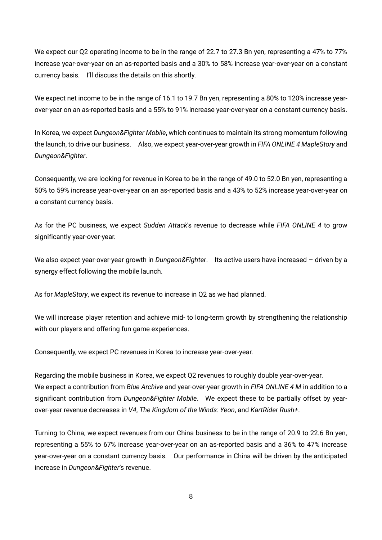We expect our Q2 operating income to be in the range of 22.7 to 27.3 Bn yen, representing a 47% to 77% increase year-over-year on an as-reported basis and a 30% to 58% increase year-over-year on a constant currency basis. I'll discuss the details on this shortly.

We expect net income to be in the range of 16.1 to 19.7 Bn yen, representing a 80% to 120% increase yearover-year on an as-reported basis and a 55% to 91% increase year-over-year on a constant currency basis.

In Korea, we expect *Dungeon&Fighter Mobile*, which continues to maintain its strong momentum following the launch, to drive our business. Also, we expect year-over-year growth in *FIFA ONLINE 4 MapleStory* and *Dungeon&Fighter*.

Consequently, we are looking for revenue in Korea to be in the range of 49.0 to 52.0 Bn yen, representing a 50% to 59% increase year-over-year on an as-reported basis and a 43% to 52% increase year-over-year on a constant currency basis.

As for the PC business, we expect *Sudden Attack*'s revenue to decrease while *FIFA ONLINE 4* to grow significantly year-over-year.

We also expect year-over-year growth in *Dungeon&Fighter*. Its active users have increased – driven by a synergy effect following the mobile launch.

As for *MapleStory*, we expect its revenue to increase in Q2 as we had planned.

We will increase player retention and achieve mid- to long-term growth by strengthening the relationship with our players and offering fun game experiences.

Consequently, we expect PC revenues in Korea to increase year-over-year.

Regarding the mobile business in Korea, we expect Q2 revenues to roughly double year-over-year. We expect a contribution from *Blue Archive* and year-over-year growth in *FIFA ONLINE 4 M* in addition to a significant contribution from *Dungeon&Fighter Mobile*. We expect these to be partially offset by yearover-year revenue decreases in *V4*, *The Kingdom of the Winds: Yeon*, and *KartRider Rush+*.

Turning to China, we expect revenues from our China business to be in the range of 20.9 to 22.6 Bn yen, representing a 55% to 67% increase year-over-year on an as-reported basis and a 36% to 47% increase year-over-year on a constant currency basis. Our performance in China will be driven by the anticipated increase in *Dungeon&Fighter*'s revenue.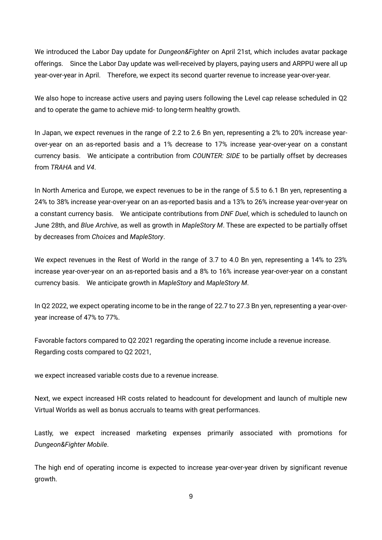We introduced the Labor Day update for *Dungeon&Fighter* on April 21st, which includes avatar package offerings. Since the Labor Day update was well-received by players, paying users and ARPPU were all up year-over-year in April. Therefore, we expect its second quarter revenue to increase year-over-year.

We also hope to increase active users and paying users following the Level cap release scheduled in Q2 and to operate the game to achieve mid- to long-term healthy growth.

In Japan, we expect revenues in the range of 2.2 to 2.6 Bn yen, representing a 2% to 20% increase yearover-year on an as-reported basis and a 1% decrease to 17% increase year-over-year on a constant currency basis. We anticipate a contribution from *COUNTER: SIDE* to be partially offset by decreases from *TRAHA* and *V4*.

In North America and Europe, we expect revenues to be in the range of 5.5 to 6.1 Bn yen, representing a 24% to 38% increase year-over-year on an as-reported basis and a 13% to 26% increase year-over-year on a constant currency basis. We anticipate contributions from *DNF Duel*, which is scheduled to launch on June 28th, and *Blue Archive*, as well as growth in *MapleStory M*. These are expected to be partially offset by decreases from *Choices* and *MapleStory*.

We expect revenues in the Rest of World in the range of 3.7 to 4.0 Bn yen, representing a 14% to 23% increase year-over-year on an as-reported basis and a 8% to 16% increase year-over-year on a constant currency basis. We anticipate growth in *MapleStory* and *MapleStory M*.

In Q2 2022, we expect operating income to be in the range of 22.7 to 27.3 Bn yen, representing a year-overyear increase of 47% to 77%.

Favorable factors compared to Q2 2021 regarding the operating income include a revenue increase. Regarding costs compared to Q2 2021,

we expect increased variable costs due to a revenue increase.

Next, we expect increased HR costs related to headcount for development and launch of multiple new Virtual Worlds as well as bonus accruals to teams with great performances.

Lastly, we expect increased marketing expenses primarily associated with promotions for *Dungeon&Fighter Mobile*.

The high end of operating income is expected to increase year-over-year driven by significant revenue growth.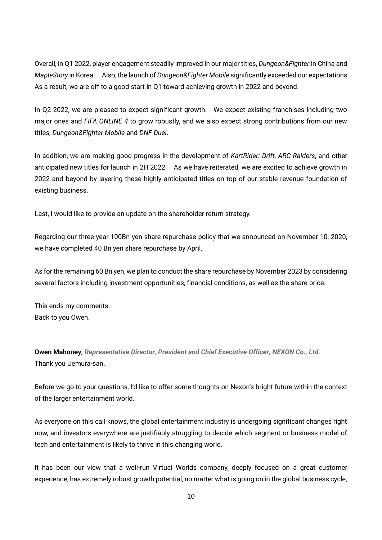Overall, in Q1 2022, player engagement steadily improved in our major titles, *Dungeon&Fighter* in China and *MapleStory* in Korea. Also, the launch of *Dungeon&Fighter Mobile* significantly exceeded our expectations. As a result, we are off to a good start in Q1 toward achieving growth in 2022 and beyond.

In Q2 2022, we are pleased to expect significant growth. We expect existing franchises including two major ones and *FIFA ONLINE 4* to grow robustly, and we also expect strong contributions from our new titles, *Dungeon&Fighter Mobile* and *DNF Duel*.

In addition, we are making good progress in the development of *KartRider: Drift*, *ARC Raiders*, and other anticipated new titles for launch in 2H 2022. As we have reiterated, we are excited to achieve growth in 2022 and beyond by layering these highly anticipated titles on top of our stable revenue foundation of existing business.

Last, I would like to provide an update on the shareholder return strategy.

Regarding our three-year 100Bn yen share repurchase policy that we announced on November 10, 2020, we have completed 40 Bn yen share repurchase by April.

As for the remaining 60 Bn yen, we plan to conduct the share repurchase by November 2023 by considering several factors including investment opportunities, financial conditions, as well as the share price.

This ends my comments. Back to you Owen.

**Owen Mahoney,** *Representative Director, President and Chief Executive Officer, NEXON Co., Ltd.* Thank you Uemura-san.

Before we go to your questions, I'd like to offer some thoughts on Nexon's bright future within the context of the larger entertainment world.

As everyone on this call knows, the global entertainment industry is undergoing significant changes right now, and investors everywhere are justifiably struggling to decide which segment or business model of tech and entertainment is likely to thrive in this changing world.

It has been our view that a well-run Virtual Worlds company, deeply focused on a great customer experience, has extremely robust growth potential, no matter what is going on in the global business cycle,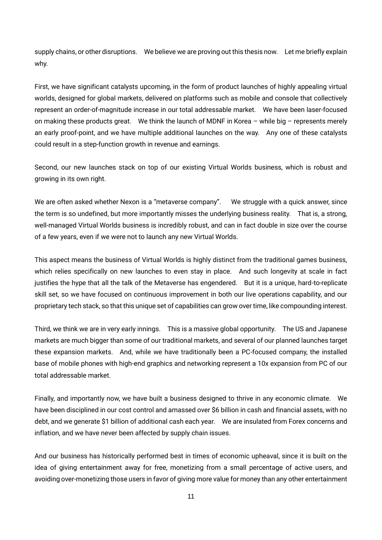supply chains, or other disruptions. We believe we are proving out this thesis now. Let me briefly explain why.

First, we have significant catalysts upcoming, in the form of product launches of highly appealing virtual worlds, designed for global markets, delivered on platforms such as mobile and console that collectively represent an order-of-magnitude increase in our total addressable market. We have been laser-focused on making these products great. We think the launch of MDNF in Korea – while big – represents merely an early proof-point, and we have multiple additional launches on the way. Any one of these catalysts could result in a step-function growth in revenue and earnings.

Second, our new launches stack on top of our existing Virtual Worlds business, which is robust and growing in its own right.

We are often asked whether Nexon is a "metaverse company". We struggle with a quick answer, since the term is so undefined, but more importantly misses the underlying business reality. That is, a strong, well-managed Virtual Worlds business is incredibly robust, and can in fact double in size over the course of a few years, even if we were not to launch any new Virtual Worlds.

This aspect means the business of Virtual Worlds is highly distinct from the traditional games business, which relies specifically on new launches to even stay in place. And such longevity at scale in fact justifies the hype that all the talk of the Metaverse has engendered. But it is a unique, hard-to-replicate skill set, so we have focused on continuous improvement in both our live operations capability, and our proprietary tech stack, so that this unique set of capabilities can grow over time, like compounding interest.

Third, we think we are in very early innings. This is a massive global opportunity. The US and Japanese markets are much bigger than some of our traditional markets, and several of our planned launches target these expansion markets. And, while we have traditionally been a PC-focused company, the installed base of mobile phones with high-end graphics and networking represent a 10x expansion from PC of our total addressable market.

Finally, and importantly now, we have built a business designed to thrive in any economic climate. We have been disciplined in our cost control and amassed over \$6 billion in cash and financial assets, with no debt, and we generate \$1 billion of additional cash each year. We are insulated from Forex concerns and inflation, and we have never been affected by supply chain issues.

And our business has historically performed best in times of economic upheaval, since it is built on the idea of giving entertainment away for free, monetizing from a small percentage of active users, and avoiding over-monetizing those users in favor of giving more value for money than any other entertainment